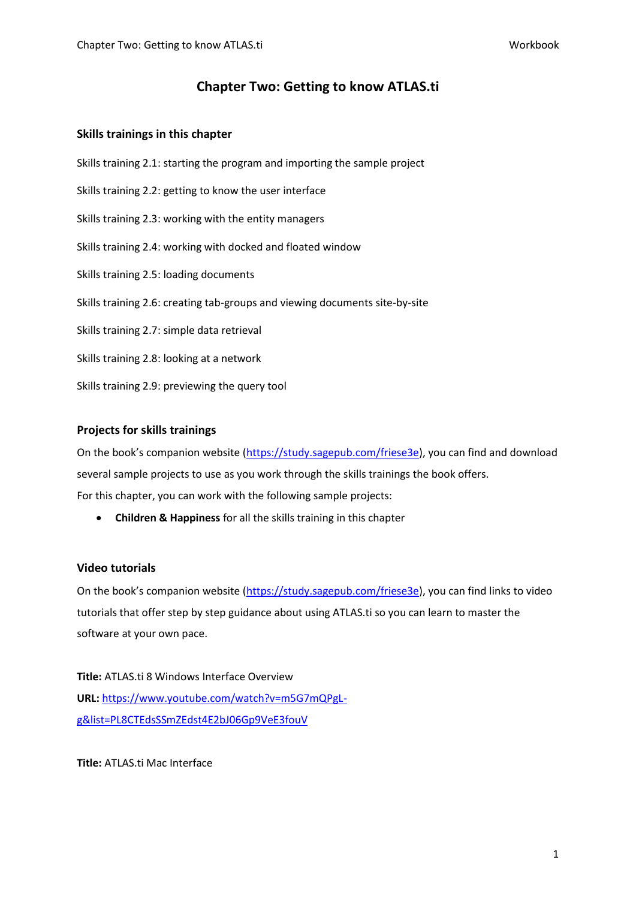# **Chapter Two: Getting to know ATLAS.ti**

## **Skills trainings in this chapter**

Skills training 2.1: starting the program and importing the sample project Skills training 2.2: getting to know the user interface Skills training 2.3: working with the entity managers Skills training 2.4: working with docked and floated window Skills training 2.5: loading documents Skills training 2.6: creating tab-groups and viewing documents site-by-site Skills training 2.7: simple data retrieval Skills training 2.8: looking at a network Skills training 2.9: previewing the query tool

## **Projects for skills trainings**

On the book's companion website ([https://study.sagepub.com/friese3e\)](https://study.sagepub.com/friese3e), you can find and download several sample projects to use as you work through the skills trainings the book offers. For this chapter, you can work with the following sample projects:

• **Children & Happiness** for all the skills training in this chapter

## **Video tutorials**

On the book's companion website ([https://study.sagepub.com/friese3e\)](https://study.sagepub.com/friese3e), you can find links to video tutorials that offer step by step guidance about using ATLAS.ti so you can learn to master the software at your own pace.

**Title:** ATLAS.ti 8 Windows Interface Overview **URL:** [https://www.youtube.com/watch?v=m5G7mQPgL](https://www.youtube.com/watch?v=m5G7mQPgL-g&list=PL8CTEdsSSmZEdst4E2bJ06Gp9VeE3fouV)[g&list=PL8CTEdsSSmZEdst4E2bJ06Gp9VeE3fouV](https://www.youtube.com/watch?v=m5G7mQPgL-g&list=PL8CTEdsSSmZEdst4E2bJ06Gp9VeE3fouV)

**Title:** ATLAS.ti Mac Interface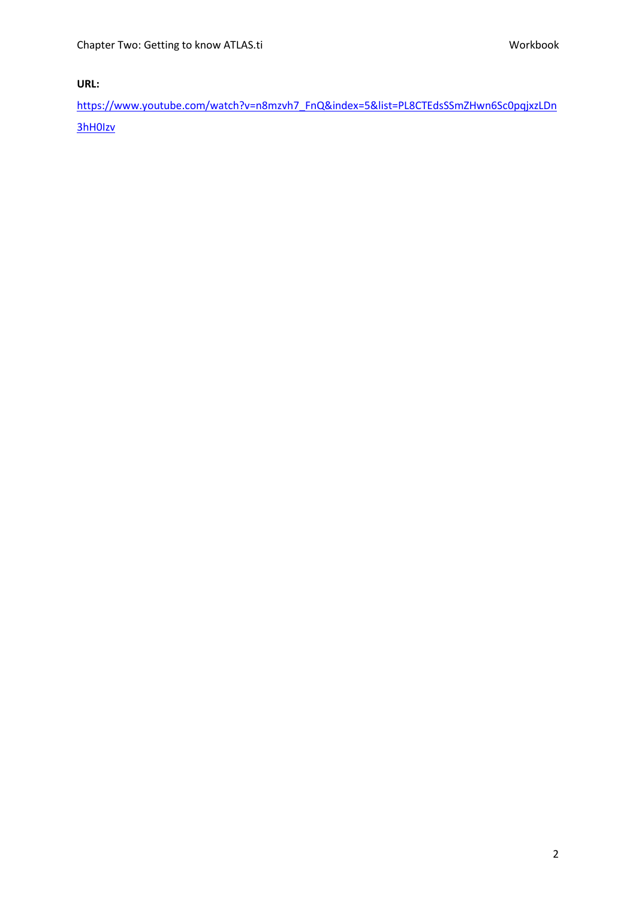**URL:** 

[https://www.youtube.com/watch?v=n8mzvh7\\_FnQ&index=5&list=PL8CTEdsSSmZHwn6Sc0pqjxzLDn](https://www.youtube.com/watch?v=n8mzvh7_FnQ&index=5&list=PL8CTEdsSSmZHwn6Sc0pqjxzLDn3hH0Izv) [3hH0Izv](https://www.youtube.com/watch?v=n8mzvh7_FnQ&index=5&list=PL8CTEdsSSmZHwn6Sc0pqjxzLDn3hH0Izv)